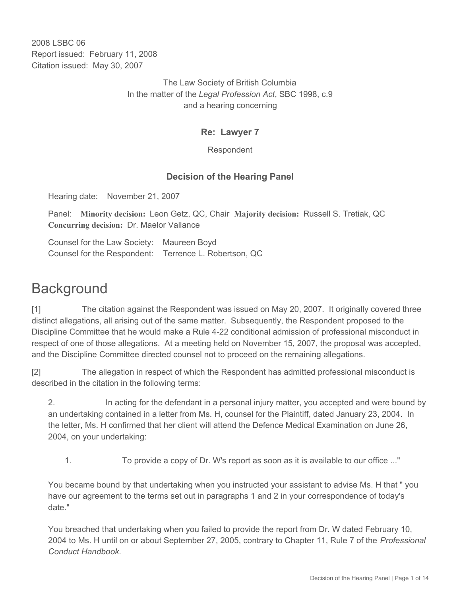2008 LSBC 06 Report issued: February 11, 2008 Citation issued: May 30, 2007

> The Law Society of British Columbia In the matter of the *Legal Profession Act*, SBC 1998, c.9 and a hearing concerning

### **Re: Lawyer 7**

Respondent

## **Decision of the Hearing Panel**

Hearing date: November 21, 2007

Panel: **Minority decision:** Leon Getz, QC, Chair **Majority decision:** Russell S. Tretiak, QC **Concurring decision:** Dr. Maelor Vallance

Counsel for the Law Society: Maureen Boyd Counsel for the Respondent: Terrence L. Robertson, QC

# **Background**

[1] The citation against the Respondent was issued on May 20, 2007. It originally covered three distinct allegations, all arising out of the same matter. Subsequently, the Respondent proposed to the Discipline Committee that he would make a Rule 4-22 conditional admission of professional misconduct in respect of one of those allegations. At a meeting held on November 15, 2007, the proposal was accepted, and the Discipline Committee directed counsel not to proceed on the remaining allegations.

[2] The allegation in respect of which the Respondent has admitted professional misconduct is described in the citation in the following terms:

2. In acting for the defendant in a personal injury matter, you accepted and were bound by an undertaking contained in a letter from Ms. H, counsel for the Plaintiff, dated January 23, 2004. In the letter, Ms. H confirmed that her client will attend the Defence Medical Examination on June 26, 2004, on your undertaking:

1. To provide a copy of Dr. W's report as soon as it is available to our office ..."

You became bound by that undertaking when you instructed your assistant to advise Ms. H that " you have our agreement to the terms set out in paragraphs 1 and 2 in your correspondence of today's date."

You breached that undertaking when you failed to provide the report from Dr. W dated February 10, 2004 to Ms. H until on or about September 27, 2005, contrary to Chapter 11, Rule 7 of the *Professional Conduct Handbook.*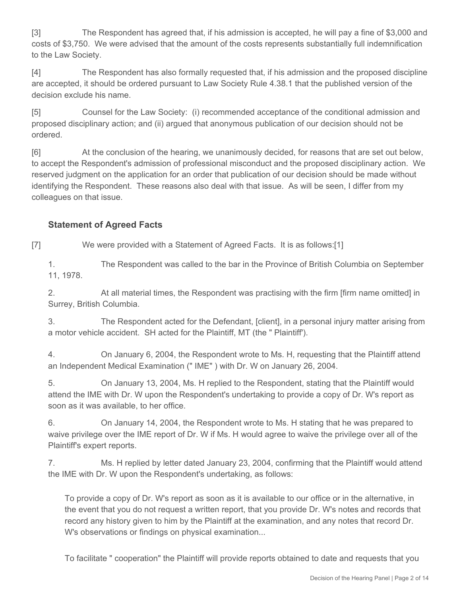[3] The Respondent has agreed that, if his admission is accepted, he will pay a fine of \$3,000 and costs of \$3,750. We were advised that the amount of the costs represents substantially full indemnification to the Law Society.

[4] The Respondent has also formally requested that, if his admission and the proposed discipline are accepted, it should be ordered pursuant to Law Society Rule 4.38.1 that the published version of the decision exclude his name.

[5] Counsel for the Law Society: (i) recommended acceptance of the conditional admission and proposed disciplinary action; and (ii) argued that anonymous publication of our decision should not be ordered.

[6] At the conclusion of the hearing, we unanimously decided, for reasons that are set out below, to accept the Respondent's admission of professional misconduct and the proposed disciplinary action. We reserved judgment on the application for an order that publication of our decision should be made without identifying the Respondent. These reasons also deal with that issue. As will be seen, I differ from my colleagues on that issue.

## **Statement of Agreed Facts**

[7] We were provided with a Statement of Agreed Facts. It is as follows:[1]

1. The Respondent was called to the bar in the Province of British Columbia on September 11, 1978.

2. At all material times, the Respondent was practising with the firm [firm name omitted] in Surrey, British Columbia.

3. The Respondent acted for the Defendant, [client], in a personal injury matter arising from a motor vehicle accident. SH acted for the Plaintiff, MT (the " Plaintiff').

4. On January 6, 2004, the Respondent wrote to Ms. H, requesting that the Plaintiff attend an Independent Medical Examination (" IME" ) with Dr. W on January 26, 2004.

5. On January 13, 2004, Ms. H replied to the Respondent, stating that the Plaintiff would attend the IME with Dr. W upon the Respondent's undertaking to provide a copy of Dr. W's report as soon as it was available, to her office.

6. On January 14, 2004, the Respondent wrote to Ms. H stating that he was prepared to waive privilege over the IME report of Dr. W if Ms. H would agree to waive the privilege over all of the Plaintiff's expert reports.

7. Ms. H replied by letter dated January 23, 2004, confirming that the Plaintiff would attend the IME with Dr. W upon the Respondent's undertaking, as follows:

To provide a copy of Dr. W's report as soon as it is available to our office or in the alternative, in the event that you do not request a written report, that you provide Dr. W's notes and records that record any history given to him by the Plaintiff at the examination, and any notes that record Dr. W's observations or findings on physical examination...

To facilitate " cooperation" the Plaintiff will provide reports obtained to date and requests that you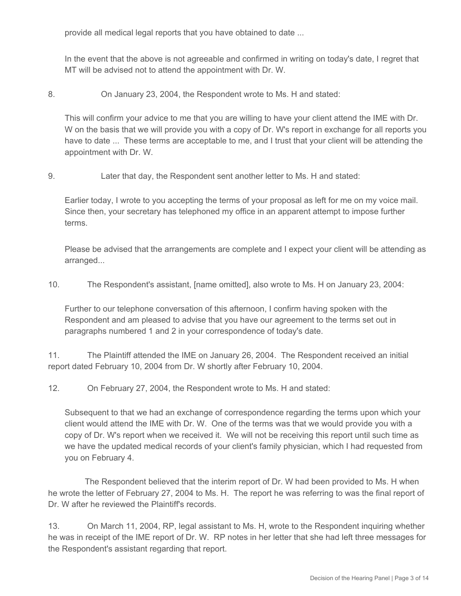provide all medical legal reports that you have obtained to date ...

In the event that the above is not agreeable and confirmed in writing on today's date, I regret that MT will be advised not to attend the appointment with Dr. W.

8. On January 23, 2004, the Respondent wrote to Ms. H and stated:

This will confirm your advice to me that you are willing to have your client attend the IME with Dr. W on the basis that we will provide you with a copy of Dr. W's report in exchange for all reports you have to date ... These terms are acceptable to me, and I trust that your client will be attending the appointment with Dr. W.

9. Later that day, the Respondent sent another letter to Ms. H and stated:

Earlier today, I wrote to you accepting the terms of your proposal as left for me on my voice mail. Since then, your secretary has telephoned my office in an apparent attempt to impose further terms.

Please be advised that the arrangements are complete and I expect your client will be attending as arranged...

10. The Respondent's assistant, [name omitted], also wrote to Ms. H on January 23, 2004:

Further to our telephone conversation of this afternoon, I confirm having spoken with the Respondent and am pleased to advise that you have our agreement to the terms set out in paragraphs numbered 1 and 2 in your correspondence of today's date.

11. The Plaintiff attended the IME on January 26, 2004. The Respondent received an initial report dated February 10, 2004 from Dr. W shortly after February 10, 2004.

12. On February 27, 2004, the Respondent wrote to Ms. H and stated:

Subsequent to that we had an exchange of correspondence regarding the terms upon which your client would attend the IME with Dr. W. One of the terms was that we would provide you with a copy of Dr. W's report when we received it. We will not be receiving this report until such time as we have the updated medical records of your client's family physician, which I had requested from you on February 4.

 The Respondent believed that the interim report of Dr. W had been provided to Ms. H when he wrote the letter of February 27, 2004 to Ms. H. The report he was referring to was the final report of Dr. W after he reviewed the Plaintiff's records.

13. On March 11, 2004, RP, legal assistant to Ms. H, wrote to the Respondent inquiring whether he was in receipt of the IME report of Dr. W. RP notes in her letter that she had left three messages for the Respondent's assistant regarding that report.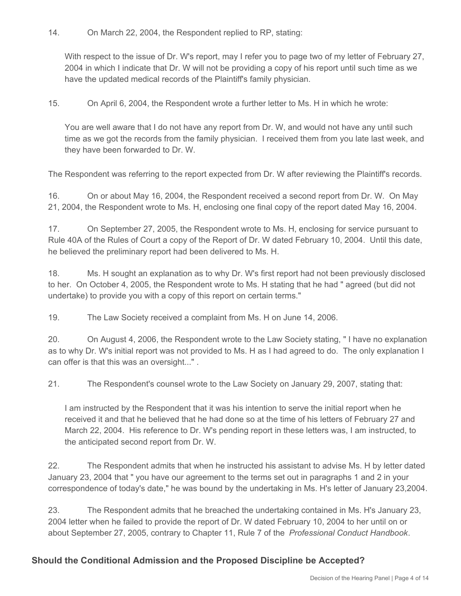14. On March 22, 2004, the Respondent replied to RP, stating:

With respect to the issue of Dr. W's report, may I refer you to page two of my letter of February 27, 2004 in which I indicate that Dr. W will not be providing a copy of his report until such time as we have the updated medical records of the Plaintiff's family physician.

15. On April 6, 2004, the Respondent wrote a further letter to Ms. H in which he wrote:

You are well aware that I do not have any report from Dr. W, and would not have any until such time as we got the records from the family physician. I received them from you late last week, and they have been forwarded to Dr. W.

The Respondent was referring to the report expected from Dr. W after reviewing the Plaintiff's records.

16. On or about May 16, 2004, the Respondent received a second report from Dr. W. On May 21, 2004, the Respondent wrote to Ms. H, enclosing one final copy of the report dated May 16, 2004.

17. On September 27, 2005, the Respondent wrote to Ms. H, enclosing for service pursuant to Rule 40A of the Rules of Court a copy of the Report of Dr. W dated February 10, 2004. Until this date, he believed the preliminary report had been delivered to Ms. H.

18. Ms. H sought an explanation as to why Dr. W's first report had not been previously disclosed to her. On October 4, 2005, the Respondent wrote to Ms. H stating that he had " agreed (but did not undertake) to provide you with a copy of this report on certain terms."

19. The Law Society received a complaint from Ms. H on June 14, 2006.

20. On August 4, 2006, the Respondent wrote to the Law Society stating, " I have no explanation as to why Dr. W's initial report was not provided to Ms. H as I had agreed to do. The only explanation I can offer is that this was an oversight..." .

21. The Respondent's counsel wrote to the Law Society on January 29, 2007, stating that:

I am instructed by the Respondent that it was his intention to serve the initial report when he received it and that he believed that he had done so at the time of his letters of February 27 and March 22, 2004. His reference to Dr. W's pending report in these letters was, I am instructed, to the anticipated second report from Dr. W.

22. The Respondent admits that when he instructed his assistant to advise Ms. H by letter dated January 23, 2004 that " you have our agreement to the terms set out in paragraphs 1 and 2 in your correspondence of today's date," he was bound by the undertaking in Ms. H's letter of January 23,2004.

23. The Respondent admits that he breached the undertaking contained in Ms. H's January 23, 2004 letter when he failed to provide the report of Dr. W dated February 10, 2004 to her until on or about September 27, 2005, contrary to Chapter 11, Rule 7 of the *Professional Conduct Handbook*.

### **Should the Conditional Admission and the Proposed Discipline be Accepted?**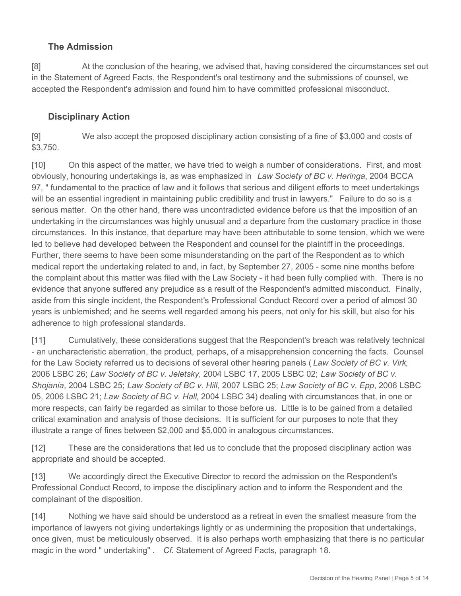# **The Admission**

[8] At the conclusion of the hearing, we advised that, having considered the circumstances set out in the Statement of Agreed Facts, the Respondent's oral testimony and the submissions of counsel, we accepted the Respondent's admission and found him to have committed professional misconduct.

## **Disciplinary Action**

[9] We also accept the proposed disciplinary action consisting of a fine of \$3,000 and costs of \$3,750.

[10] On this aspect of the matter, we have tried to weigh a number of considerations. First, and most obviously, honouring undertakings is, as was emphasized in *Law Society of BC v. Heringa*, 2004 BCCA 97, " fundamental to the practice of law and it follows that serious and diligent efforts to meet undertakings will be an essential ingredient in maintaining public credibility and trust in lawyers." Failure to do so is a serious matter. On the other hand, there was uncontradicted evidence before us that the imposition of an undertaking in the circumstances was highly unusual and a departure from the customary practice in those circumstances. In this instance, that departure may have been attributable to some tension, which we were led to believe had developed between the Respondent and counsel for the plaintiff in the proceedings. Further, there seems to have been some misunderstanding on the part of the Respondent as to which medical report the undertaking related to and, in fact, by September 27, 2005 - some nine months before the complaint about this matter was filed with the Law Society - it had been fully complied with. There is no evidence that anyone suffered any prejudice as a result of the Respondent's admitted misconduct. Finally, aside from this single incident, the Respondent's Professional Conduct Record over a period of almost 30 years is unblemished; and he seems well regarded among his peers, not only for his skill, but also for his adherence to high professional standards.

[11] Cumulatively, these considerations suggest that the Respondent's breach was relatively technical - an uncharacteristic aberration, the product, perhaps, of a misapprehension concerning the facts. Counsel for the Law Society referred us to decisions of several other hearing panels ( *Law Society of BC v. Virk*, 2006 LSBC 26; *Law Society of BC v. Jeletsky*, 2004 LSBC 17, 2005 LSBC 02; *Law Society of BC v. Shojania*, 2004 LSBC 25; *Law Society of BC v. Hill*, 2007 LSBC 25; *Law Society of BC v. Epp*, 2006 LSBC 05, 2006 LSBC 21; *Law Society of BC v. Hall*, 2004 LSBC 34) dealing with circumstances that, in one or more respects, can fairly be regarded as similar to those before us. Little is to be gained from a detailed critical examination and analysis of those decisions. It is sufficient for our purposes to note that they illustrate a range of fines between \$2,000 and \$5,000 in analogous circumstances.

[12] These are the considerations that led us to conclude that the proposed disciplinary action was appropriate and should be accepted.

[13] We accordingly direct the Executive Director to record the admission on the Respondent's Professional Conduct Record, to impose the disciplinary action and to inform the Respondent and the complainant of the disposition.

[14] Nothing we have said should be understood as a retreat in even the smallest measure from the importance of lawyers not giving undertakings lightly or as undermining the proposition that undertakings, once given, must be meticulously observed. It is also perhaps worth emphasizing that there is no particular magic in the word " undertaking" . *Cf.* Statement of Agreed Facts, paragraph 18.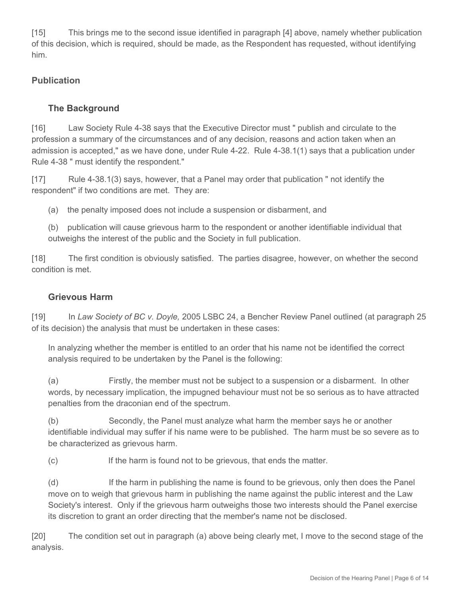[15] This brings me to the second issue identified in paragraph [4] above, namely whether publication of this decision, which is required, should be made, as the Respondent has requested, without identifying him.

## **Publication**

## **The Background**

[16] Law Society Rule 4-38 says that the Executive Director must " publish and circulate to the profession a summary of the circumstances and of any decision, reasons and action taken when an admission is accepted," as we have done, under Rule 4-22. Rule 4-38.1(1) says that a publication under Rule 4-38 " must identify the respondent."

[17] Rule 4-38.1(3) says, however, that a Panel may order that publication " not identify the respondent" if two conditions are met. They are:

(a) the penalty imposed does not include a suspension or disbarment, and

(b) publication will cause grievous harm to the respondent or another identifiable individual that outweighs the interest of the public and the Society in full publication.

[18] The first condition is obviously satisfied. The parties disagree, however, on whether the second condition is met.

## **Grievous Harm**

[19] In *Law Society of BC v. Doyle,* 2005 LSBC 24, a Bencher Review Panel outlined (at paragraph 25 of its decision) the analysis that must be undertaken in these cases:

In analyzing whether the member is entitled to an order that his name not be identified the correct analysis required to be undertaken by the Panel is the following:

(a) Firstly, the member must not be subject to a suspension or a disbarment. In other words, by necessary implication, the impugned behaviour must not be so serious as to have attracted penalties from the draconian end of the spectrum.

(b) Secondly, the Panel must analyze what harm the member says he or another identifiable individual may suffer if his name were to be published. The harm must be so severe as to be characterized as grievous harm.

(c) If the harm is found not to be grievous, that ends the matter.

(d) If the harm in publishing the name is found to be grievous, only then does the Panel move on to weigh that grievous harm in publishing the name against the public interest and the Law Society's interest. Only if the grievous harm outweighs those two interests should the Panel exercise its discretion to grant an order directing that the member's name not be disclosed.

[20] The condition set out in paragraph (a) above being clearly met, I move to the second stage of the analysis.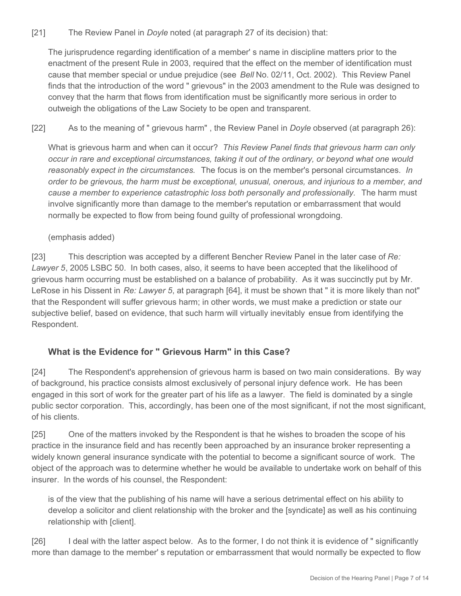#### [21] The Review Panel in *Doyle* noted (at paragraph 27 of its decision) that:

The jurisprudence regarding identification of a member' s name in discipline matters prior to the enactment of the present Rule in 2003, required that the effect on the member of identification must cause that member special or undue prejudice (see *Bell* No. 02/11, Oct. 2002). This Review Panel finds that the introduction of the word " grievous" in the 2003 amendment to the Rule was designed to convey that the harm that flows from identification must be significantly more serious in order to outweigh the obligations of the Law Society to be open and transparent.

#### [22] As to the meaning of " grievous harm" , the Review Panel in *Doyle* observed (at paragraph 26):

What is grievous harm and when can it occur? *This Review Panel finds that grievous harm can only occur in rare and exceptional circumstances, taking it out of the ordinary, or beyond what one would reasonably expect in the circumstances.* The focus is on the member's personal circumstances. *In order to be grievous, the harm must be exceptional, unusual, onerous, and injurious to a member, and cause a member to experience catastrophic loss both personally and professionally.* The harm must involve significantly more than damage to the member's reputation or embarrassment that would normally be expected to flow from being found guilty of professional wrongdoing.

#### (emphasis added)

[23] This description was accepted by a different Bencher Review Panel in the later case of *Re: Lawyer 5*, 2005 LSBC 50. In both cases, also, it seems to have been accepted that the likelihood of grievous harm occurring must be established on a balance of probability. As it was succinctly put by Mr. LeRose in his Dissent in *Re: Lawyer 5*, at paragraph [64], it must be shown that " it is more likely than not" that the Respondent will suffer grievous harm; in other words, we must make a prediction or state our subjective belief, based on evidence, that such harm will virtually inevitably ensue from identifying the Respondent.

## **What is the Evidence for " Grievous Harm" in this Case?**

[24] The Respondent's apprehension of grievous harm is based on two main considerations. By way of background, his practice consists almost exclusively of personal injury defence work. He has been engaged in this sort of work for the greater part of his life as a lawyer. The field is dominated by a single public sector corporation. This, accordingly, has been one of the most significant, if not the most significant, of his clients.

[25] One of the matters invoked by the Respondent is that he wishes to broaden the scope of his practice in the insurance field and has recently been approached by an insurance broker representing a widely known general insurance syndicate with the potential to become a significant source of work. The object of the approach was to determine whether he would be available to undertake work on behalf of this insurer. In the words of his counsel, the Respondent:

is of the view that the publishing of his name will have a serious detrimental effect on his ability to develop a solicitor and client relationship with the broker and the [syndicate] as well as his continuing relationship with [client].

[26] I deal with the latter aspect below. As to the former, I do not think it is evidence of " significantly more than damage to the member' s reputation or embarrassment that would normally be expected to flow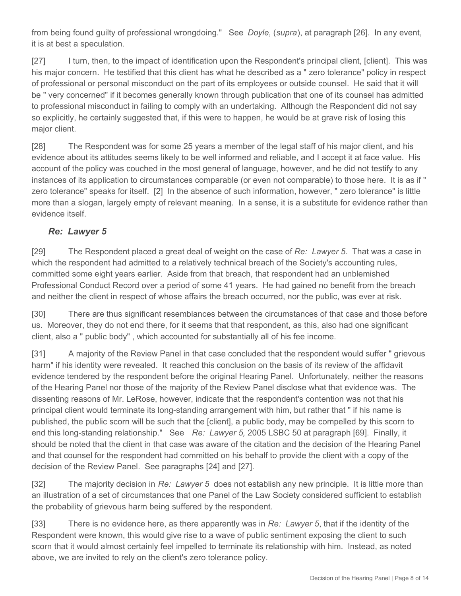from being found guilty of professional wrongdoing." See *Doyle*, (*supra*), at paragraph [26]. In any event, it is at best a speculation.

[27] I turn, then, to the impact of identification upon the Respondent's principal client, [client]. This was his major concern. He testified that this client has what he described as a " zero tolerance" policy in respect of professional or personal misconduct on the part of its employees or outside counsel. He said that it will be " very concerned" if it becomes generally known through publication that one of its counsel has admitted to professional misconduct in failing to comply with an undertaking. Although the Respondent did not say so explicitly, he certainly suggested that, if this were to happen, he would be at grave risk of losing this major client.

[28] The Respondent was for some 25 years a member of the legal staff of his major client, and his evidence about its attitudes seems likely to be well informed and reliable, and I accept it at face value. His account of the policy was couched in the most general of language, however, and he did not testify to any instances of its application to circumstances comparable (or even not comparable) to those here. It is as if " zero tolerance" speaks for itself. [2] In the absence of such information, however, " zero tolerance" is little more than a slogan, largely empty of relevant meaning. In a sense, it is a substitute for evidence rather than evidence itself.

## *Re: Lawyer 5*

[29] The Respondent placed a great deal of weight on the case of *Re: Lawyer 5*.That was a case in which the respondent had admitted to a relatively technical breach of the Society's accounting rules, committed some eight years earlier. Aside from that breach, that respondent had an unblemished Professional Conduct Record over a period of some 41 years. He had gained no benefit from the breach and neither the client in respect of whose affairs the breach occurred, nor the public, was ever at risk.

[30] There are thus significant resemblances between the circumstances of that case and those before us. Moreover, they do not end there, for it seems that that respondent, as this, also had one significant client, also a " public body" , which accounted for substantially all of his fee income.

[31] A majority of the Review Panel in that case concluded that the respondent would suffer " grievous harm" if his identity were revealed. It reached this conclusion on the basis of its review of the affidavit evidence tendered by the respondent before the original Hearing Panel. Unfortunately, neither the reasons of the Hearing Panel nor those of the majority of the Review Panel disclose what that evidence was. The dissenting reasons of Mr. LeRose, however, indicate that the respondent's contention was not that his principal client would terminate its long-standing arrangement with him, but rather that " if his name is published, the public scorn will be such that the [client], a public body, may be compelled by this scorn to end this long-standing relationship." See *Re: Lawyer 5,* 2005 LSBC 50 at paragraph [69]. Finally, it should be noted that the client in that case was aware of the citation and the decision of the Hearing Panel and that counsel for the respondent had committed on his behalf to provide the client with a copy of the decision of the Review Panel. See paragraphs [24] and [27].

[32] The majority decision in *Re: Lawyer 5* does not establish any new principle. It is little more than an illustration of a set of circumstances that one Panel of the Law Society considered sufficient to establish the probability of grievous harm being suffered by the respondent.

[33] There is no evidence here, as there apparently was in *Re: Lawyer 5*, that if the identity of the Respondent were known, this would give rise to a wave of public sentiment exposing the client to such scorn that it would almost certainly feel impelled to terminate its relationship with him. Instead, as noted above, we are invited to rely on the client's zero tolerance policy.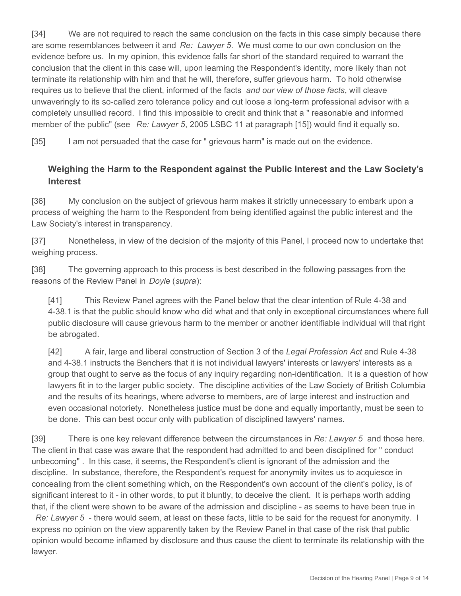[34] We are not required to reach the same conclusion on the facts in this case simply because there are some resemblances between it and *Re: Lawyer 5*. We must come to our own conclusion on the evidence before us. In my opinion, this evidence falls far short of the standard required to warrant the conclusion that the client in this case will, upon learning the Respondent's identity, more likely than not terminate its relationship with him and that he will, therefore, suffer grievous harm. To hold otherwise requires us to believe that the client, informed of the facts *and our view of those facts*, will cleave unwaveringly to its so-called zero tolerance policy and cut loose a long-term professional advisor with a completely unsullied record. I find this impossible to credit and think that a " reasonable and informed member of the public" (see *Re: Lawyer 5*, 2005 LSBC 11 at paragraph [15]) would find it equally so.

[35] I am not persuaded that the case for " grievous harm" is made out on the evidence.

## **Weighing the Harm to the Respondent against the Public Interest and the Law Society's Interest**

[36] My conclusion on the subject of grievous harm makes it strictly unnecessary to embark upon a process of weighing the harm to the Respondent from being identified against the public interest and the Law Society's interest in transparency.

[37] Nonetheless, in view of the decision of the majority of this Panel, I proceed now to undertake that weighing process.

[38] The governing approach to this process is best described in the following passages from the reasons of the Review Panel in *Doyle* (*supra*):

[41] This Review Panel agrees with the Panel below that the clear intention of Rule 4-38 and 4-38.1 is that the public should know who did what and that only in exceptional circumstances where full public disclosure will cause grievous harm to the member or another identifiable individual will that right be abrogated.

[42] A fair, large and liberal construction of Section 3 of the *Legal Profession Act* and Rule 4-38 and 4-38.1 instructs the Benchers that it is not individual lawyers' interests or lawyers' interests as a group that ought to serve as the focus of any inquiry regarding non-identification. It is a question of how lawyers fit in to the larger public society. The discipline activities of the Law Society of British Columbia and the results of its hearings, where adverse to members, are of large interest and instruction and even occasional notoriety. Nonetheless justice must be done and equally importantly, must be seen to be done. This can best occur only with publication of disciplined lawyers' names.

[39] There is one key relevant difference between the circumstances in *Re: Lawyer 5* and those here. The client in that case was aware that the respondent had admitted to and been disciplined for " conduct unbecoming" . In this case, it seems, the Respondent's client is ignorant of the admission and the discipline. In substance, therefore, the Respondent's request for anonymity invites us to acquiesce in concealing from the client something which, on the Respondent's own account of the client's policy, is of significant interest to it - in other words, to put it bluntly, to deceive the client. It is perhaps worth adding that, if the client were shown to be aware of the admission and discipline - as seems to have been true in

*Re: Lawyer 5* - there would seem, at least on these facts, little to be said for the request for anonymity. I express no opinion on the view apparently taken by the Review Panel in that case of the risk that public opinion would become inflamed by disclosure and thus cause the client to terminate its relationship with the lawyer.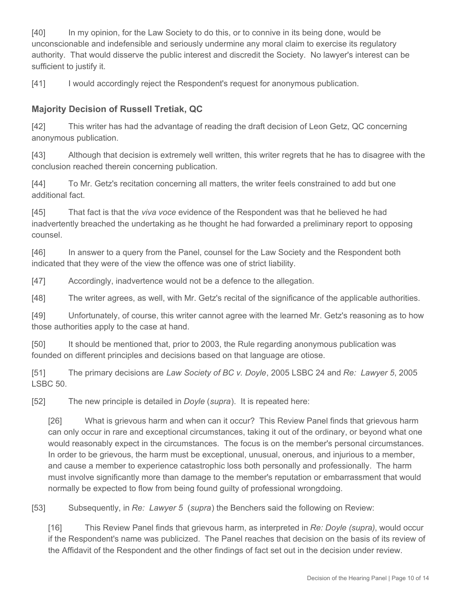[40] In my opinion, for the Law Society to do this, or to connive in its being done, would be unconscionable and indefensible and seriously undermine any moral claim to exercise its regulatory authority. That would disserve the public interest and discredit the Society. No lawyer's interest can be sufficient to justify it.

[41] I would accordingly reject the Respondent's request for anonymous publication.

# **Majority Decision of Russell Tretiak, QC**

[42] This writer has had the advantage of reading the draft decision of Leon Getz, QC concerning anonymous publication.

[43] Although that decision is extremely well written, this writer regrets that he has to disagree with the conclusion reached therein concerning publication.

[44] To Mr. Getz's recitation concerning all matters, the writer feels constrained to add but one additional fact.

[45] That fact is that the *viva voce* evidence of the Respondent was that he believed he had inadvertently breached the undertaking as he thought he had forwarded a preliminary report to opposing counsel.

[46] In answer to a query from the Panel, counsel for the Law Society and the Respondent both indicated that they were of the view the offence was one of strict liability.

[47] Accordingly, inadvertence would not be a defence to the allegation.

[48] The writer agrees, as well, with Mr. Getz's recital of the significance of the applicable authorities.

[49] Unfortunately, of course, this writer cannot agree with the learned Mr. Getz's reasoning as to how those authorities apply to the case at hand.

[50] It should be mentioned that, prior to 2003, the Rule regarding anonymous publication was founded on different principles and decisions based on that language are otiose.

[51] The primary decisions are *Law Society of BC v. Doyle*, 2005 LSBC 24 and *Re: Lawyer 5*, 2005 LSBC 50.

[52] The new principle is detailed in *Doyle* (*supra*). It is repeated here:

[26] What is grievous harm and when can it occur? This Review Panel finds that grievous harm can only occur in rare and exceptional circumstances, taking it out of the ordinary, or beyond what one would reasonably expect in the circumstances. The focus is on the member's personal circumstances. In order to be grievous, the harm must be exceptional, unusual, onerous, and injurious to a member, and cause a member to experience catastrophic loss both personally and professionally. The harm must involve significantly more than damage to the member's reputation or embarrassment that would normally be expected to flow from being found guilty of professional wrongdoing.

[53] Subsequently, in *Re: Lawyer 5* (*supra*) the Benchers said the following on Review:

[16] This Review Panel finds that grievous harm, as interpreted in *Re: Doyle (supra)*, would occur if the Respondent's name was publicized. The Panel reaches that decision on the basis of its review of the Affidavit of the Respondent and the other findings of fact set out in the decision under review.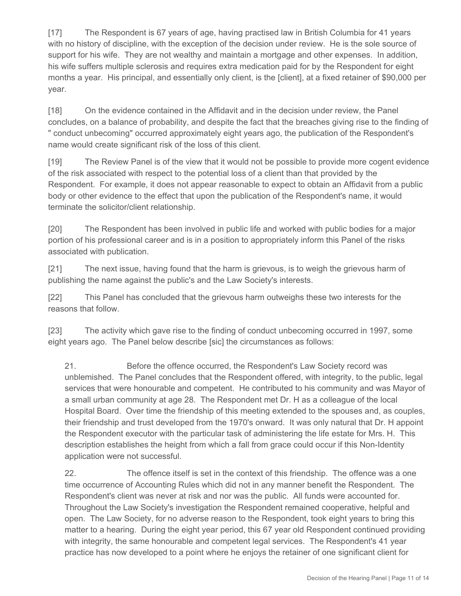[17] The Respondent is 67 years of age, having practised law in British Columbia for 41 years with no history of discipline, with the exception of the decision under review. He is the sole source of support for his wife. They are not wealthy and maintain a mortgage and other expenses. In addition, his wife suffers multiple sclerosis and requires extra medication paid for by the Respondent for eight months a year. His principal, and essentially only client, is the [client], at a fixed retainer of \$90,000 per year.

[18] On the evidence contained in the Affidavit and in the decision under review, the Panel concludes, on a balance of probability, and despite the fact that the breaches giving rise to the finding of " conduct unbecoming" occurred approximately eight years ago, the publication of the Respondent's name would create significant risk of the loss of this client.

[19] The Review Panel is of the view that it would not be possible to provide more cogent evidence of the risk associated with respect to the potential loss of a client than that provided by the Respondent. For example, it does not appear reasonable to expect to obtain an Affidavit from a public body or other evidence to the effect that upon the publication of the Respondent's name, it would terminate the solicitor/client relationship.

[20] The Respondent has been involved in public life and worked with public bodies for a major portion of his professional career and is in a position to appropriately inform this Panel of the risks associated with publication.

[21] The next issue, having found that the harm is grievous, is to weigh the grievous harm of publishing the name against the public's and the Law Society's interests.

[22] This Panel has concluded that the grievous harm outweighs these two interests for the reasons that follow.

[23] The activity which gave rise to the finding of conduct unbecoming occurred in 1997, some eight years ago. The Panel below describe [sic] the circumstances as follows:

21. Before the offence occurred, the Respondent's Law Society record was unblemished. The Panel concludes that the Respondent offered, with integrity, to the public, legal services that were honourable and competent. He contributed to his community and was Mayor of a small urban community at age 28. The Respondent met Dr. H as a colleague of the local Hospital Board. Over time the friendship of this meeting extended to the spouses and, as couples, their friendship and trust developed from the 1970's onward. It was only natural that Dr. H appoint the Respondent executor with the particular task of administering the life estate for Mrs. H. This description establishes the height from which a fall from grace could occur if this Non-Identity application were not successful.

22. The offence itself is set in the context of this friendship. The offence was a one time occurrence of Accounting Rules which did not in any manner benefit the Respondent. The Respondent's client was never at risk and nor was the public. All funds were accounted for. Throughout the Law Society's investigation the Respondent remained cooperative, helpful and open. The Law Society, for no adverse reason to the Respondent, took eight years to bring this matter to a hearing. During the eight year period, this 67 year old Respondent continued providing with integrity, the same honourable and competent legal services. The Respondent's 41 year practice has now developed to a point where he enjoys the retainer of one significant client for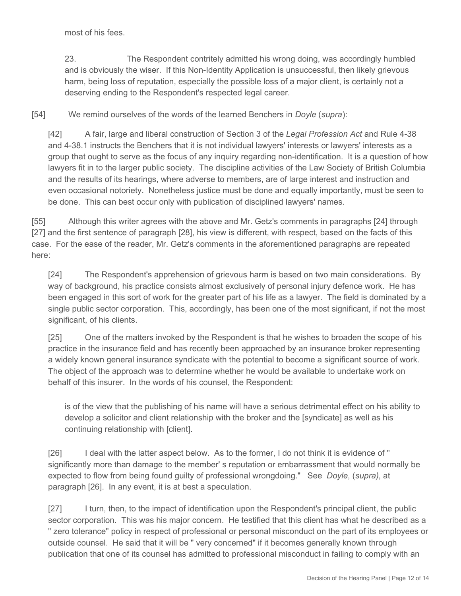most of his fees.

23. The Respondent contritely admitted his wrong doing, was accordingly humbled and is obviously the wiser. If this Non-Identity Application is unsuccessful, then likely grievous harm, being loss of reputation, especially the possible loss of a major client, is certainly not a deserving ending to the Respondent's respected legal career.

[54] We remind ourselves of the words of the learned Benchers in *Doyle* (*supra*):

[42] A fair, large and liberal construction of Section 3 of the *Legal Profession Act* and Rule 4-38 and 4-38.1 instructs the Benchers that it is not individual lawyers' interests or lawyers' interests as a group that ought to serve as the focus of any inquiry regarding non-identification. It is a question of how lawyers fit in to the larger public society. The discipline activities of the Law Society of British Columbia and the results of its hearings, where adverse to members, are of large interest and instruction and even occasional notoriety. Nonetheless justice must be done and equally importantly, must be seen to be done. This can best occur only with publication of disciplined lawyers' names.

[55] Although this writer agrees with the above and Mr. Getz's comments in paragraphs [24] through [27] and the first sentence of paragraph [28], his view is different, with respect, based on the facts of this case. For the ease of the reader, Mr. Getz's comments in the aforementioned paragraphs are repeated here:

[24] The Respondent's apprehension of grievous harm is based on two main considerations. By way of background, his practice consists almost exclusively of personal injury defence work. He has been engaged in this sort of work for the greater part of his life as a lawyer. The field is dominated by a single public sector corporation. This, accordingly, has been one of the most significant, if not the most significant, of his clients.

[25] One of the matters invoked by the Respondent is that he wishes to broaden the scope of his practice in the insurance field and has recently been approached by an insurance broker representing a widely known general insurance syndicate with the potential to become a significant source of work. The object of the approach was to determine whether he would be available to undertake work on behalf of this insurer. In the words of his counsel, the Respondent:

is of the view that the publishing of his name will have a serious detrimental effect on his ability to develop a solicitor and client relationship with the broker and the [syndicate] as well as his continuing relationship with [client].

[26] I deal with the latter aspect below. As to the former, I do not think it is evidence of " significantly more than damage to the member' s reputation or embarrassment that would normally be expected to flow from being found guilty of professional wrongdoing." See *Doyle*, (*supra)*, at paragraph [26]. In any event, it is at best a speculation.

[27] I turn, then, to the impact of identification upon the Respondent's principal client, the public sector corporation. This was his major concern. He testified that this client has what he described as a " zero tolerance" policy in respect of professional or personal misconduct on the part of its employees or outside counsel. He said that it will be " very concerned" if it becomes generally known through publication that one of its counsel has admitted to professional misconduct in failing to comply with an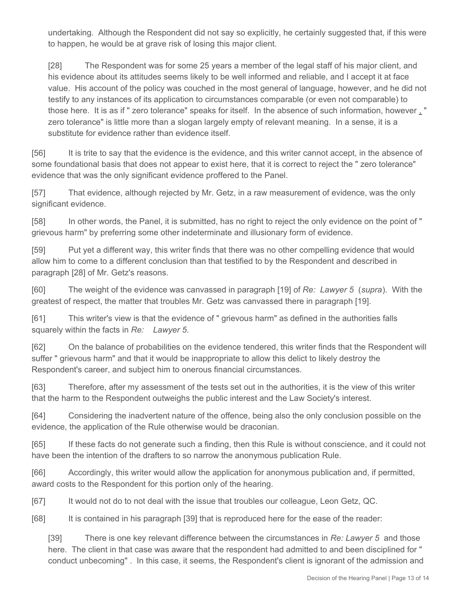undertaking. Although the Respondent did not say so explicitly, he certainly suggested that, if this were to happen, he would be at grave risk of losing this major client.

[28] The Respondent was for some 25 years a member of the legal staff of his major client, and his evidence about its attitudes seems likely to be well informed and reliable, and I accept it at face value. His account of the policy was couched in the most general of language, however, and he did not testify to any instances of its application to circumstances comparable (or even not comparable) to those here. It is as if " zero tolerance" speaks for itself. In the absence of such information, however , " zero tolerance" is little more than a slogan largely empty of relevant meaning. In a sense, it is a substitute for evidence rather than evidence itself.

[56] It is trite to say that the evidence is the evidence, and this writer cannot accept, in the absence of some foundational basis that does not appear to exist here, that it is correct to reject the " zero tolerance" evidence that was the only significant evidence proffered to the Panel.

[57] That evidence, although rejected by Mr. Getz, in a raw measurement of evidence, was the only significant evidence.

[58] In other words, the Panel, it is submitted, has no right to reject the only evidence on the point of " grievous harm" by preferring some other indeterminate and illusionary form of evidence.

[59] Put yet a different way, this writer finds that there was no other compelling evidence that would allow him to come to a different conclusion than that testified to by the Respondent and described in paragraph [28] of Mr. Getz's reasons.

[60] The weight of the evidence was canvassed in paragraph [19] of *Re: Lawyer 5* (*supra*). With the greatest of respect, the matter that troubles Mr. Getz was canvassed there in paragraph [19].

[61] This writer's view is that the evidence of " grievous harm" as defined in the authorities falls squarely within the facts in *Re: Lawyer 5*.

[62] On the balance of probabilities on the evidence tendered, this writer finds that the Respondent will suffer " grievous harm" and that it would be inappropriate to allow this delict to likely destroy the Respondent's career, and subject him to onerous financial circumstances.

[63] Therefore, after my assessment of the tests set out in the authorities, it is the view of this writer that the harm to the Respondent outweighs the public interest and the Law Society's interest.

[64] Considering the inadvertent nature of the offence, being also the only conclusion possible on the evidence, the application of the Rule otherwise would be draconian.

[65] If these facts do not generate such a finding, then this Rule is without conscience, and it could not have been the intention of the drafters to so narrow the anonymous publication Rule.

[66] Accordingly, this writer would allow the application for anonymous publication and, if permitted, award costs to the Respondent for this portion only of the hearing.

[67] It would not do to not deal with the issue that troubles our colleague, Leon Getz, QC.

[68] It is contained in his paragraph [39] that is reproduced here for the ease of the reader:

[39] There is one key relevant difference between the circumstances in *Re: Lawyer 5* and those here. The client in that case was aware that the respondent had admitted to and been disciplined for " conduct unbecoming" . In this case, it seems, the Respondent's client is ignorant of the admission and